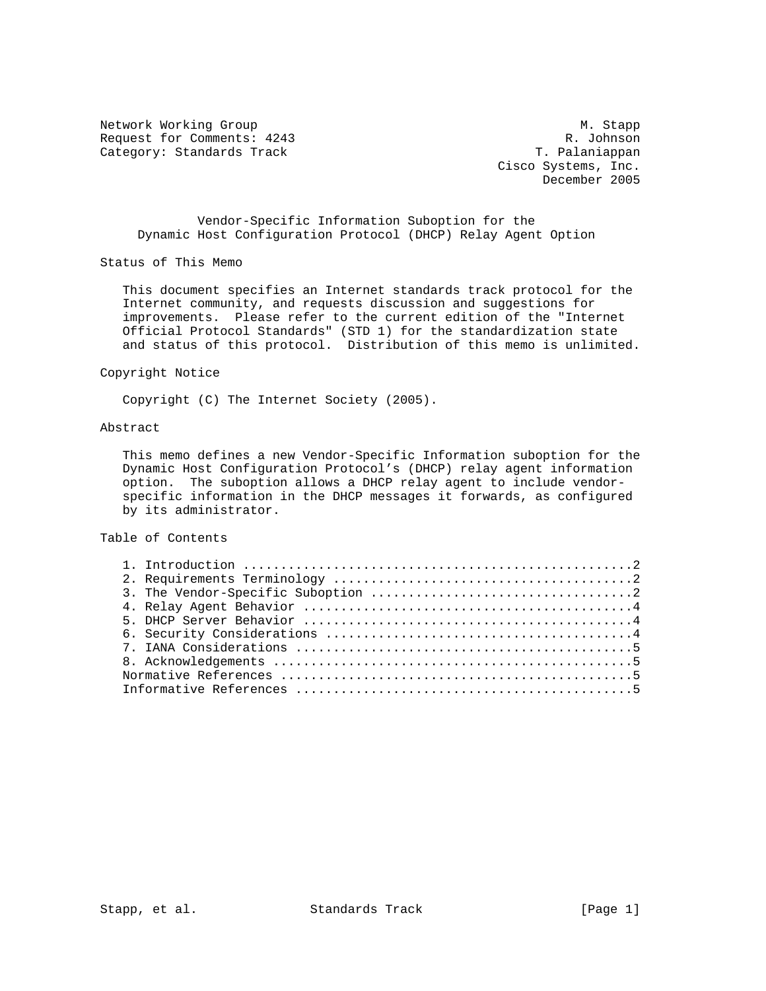Network Working Group Manuscript and Manuscript Manuscript Manuscript Manuscript Manuscript Manuscript Manuscri Request for Comments: 4243 R. Johnson<br>
Category: Standards Track Category: Standards Track Category: Standards Track

 Cisco Systems, Inc. December 2005

 Vendor-Specific Information Suboption for the Dynamic Host Configuration Protocol (DHCP) Relay Agent Option

Status of This Memo

 This document specifies an Internet standards track protocol for the Internet community, and requests discussion and suggestions for improvements. Please refer to the current edition of the "Internet Official Protocol Standards" (STD 1) for the standardization state and status of this protocol. Distribution of this memo is unlimited.

Copyright Notice

Copyright (C) The Internet Society (2005).

# Abstract

 This memo defines a new Vendor-Specific Information suboption for the Dynamic Host Configuration Protocol's (DHCP) relay agent information option. The suboption allows a DHCP relay agent to include vendor specific information in the DHCP messages it forwards, as configured by its administrator.

# Table of Contents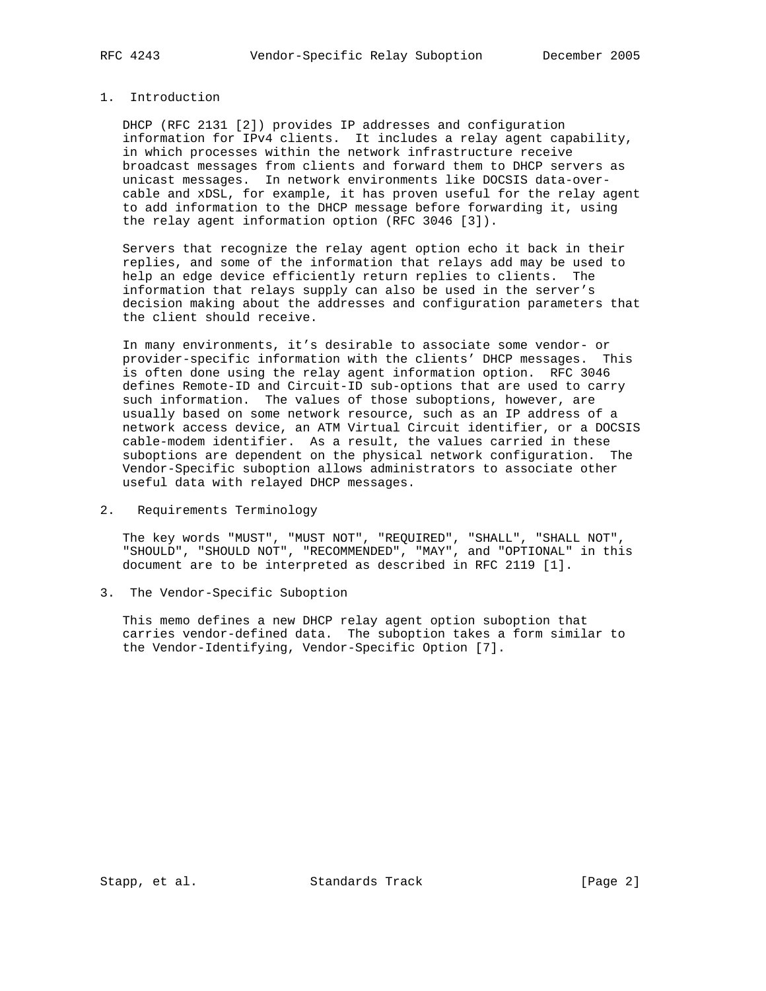## 1. Introduction

 DHCP (RFC 2131 [2]) provides IP addresses and configuration information for IPv4 clients. It includes a relay agent capability, in which processes within the network infrastructure receive broadcast messages from clients and forward them to DHCP servers as unicast messages. In network environments like DOCSIS data-over cable and xDSL, for example, it has proven useful for the relay agent to add information to the DHCP message before forwarding it, using the relay agent information option (RFC 3046 [3]).

 Servers that recognize the relay agent option echo it back in their replies, and some of the information that relays add may be used to help an edge device efficiently return replies to clients. The information that relays supply can also be used in the server's decision making about the addresses and configuration parameters that the client should receive.

 In many environments, it's desirable to associate some vendor- or provider-specific information with the clients' DHCP messages. This is often done using the relay agent information option. RFC 3046 defines Remote-ID and Circuit-ID sub-options that are used to carry such information. The values of those suboptions, however, are usually based on some network resource, such as an IP address of a network access device, an ATM Virtual Circuit identifier, or a DOCSIS cable-modem identifier. As a result, the values carried in these suboptions are dependent on the physical network configuration. The Vendor-Specific suboption allows administrators to associate other useful data with relayed DHCP messages.

2. Requirements Terminology

 The key words "MUST", "MUST NOT", "REQUIRED", "SHALL", "SHALL NOT", "SHOULD", "SHOULD NOT", "RECOMMENDED", "MAY", and "OPTIONAL" in this document are to be interpreted as described in RFC 2119 [1].

3. The Vendor-Specific Suboption

 This memo defines a new DHCP relay agent option suboption that carries vendor-defined data. The suboption takes a form similar to the Vendor-Identifying, Vendor-Specific Option [7].

Stapp, et al. Standards Track [Page 2]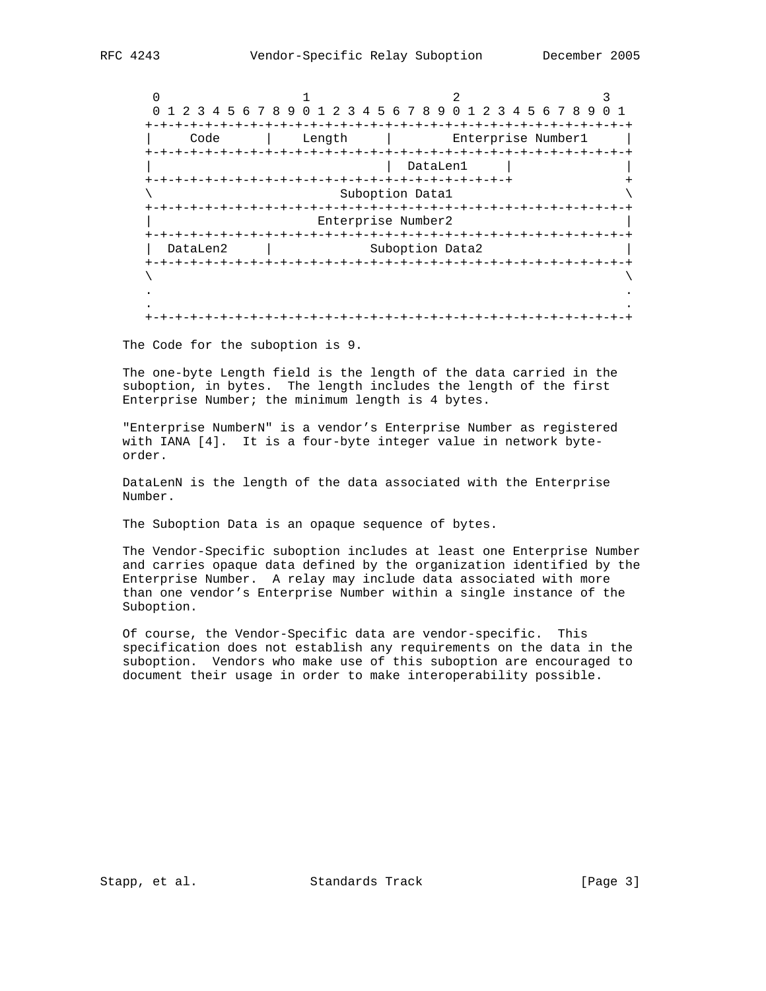|                         |                    | 1 2 3 4 5 6 7 8 9 0 1 2 3 4 5 6 7 8 9 0 1 2 3 4 5 6 7 8 9 |  |  |  |
|-------------------------|--------------------|-----------------------------------------------------------|--|--|--|
| Code                    | Length             | Enterprise Number1                                        |  |  |  |
|                         | $+ - + - + - +$    | DataLen1                                                  |  |  |  |
| Suboption Datal         |                    |                                                           |  |  |  |
|                         | Enterprise Number2 |                                                           |  |  |  |
| DataLen2                |                    | Suboption Data2                                           |  |  |  |
| $+ - + - + - + - + - +$ |                    |                                                           |  |  |  |
|                         |                    |                                                           |  |  |  |
|                         |                    | -+-+-+-+-+-+-+-+                                          |  |  |  |

The Code for the suboption is 9.

 The one-byte Length field is the length of the data carried in the suboption, in bytes. The length includes the length of the first Enterprise Number; the minimum length is 4 bytes.

 "Enterprise NumberN" is a vendor's Enterprise Number as registered with IANA [4]. It is a four-byte integer value in network byte order.

 DataLenN is the length of the data associated with the Enterprise Number.

The Suboption Data is an opaque sequence of bytes.

 The Vendor-Specific suboption includes at least one Enterprise Number and carries opaque data defined by the organization identified by the Enterprise Number. A relay may include data associated with more than one vendor's Enterprise Number within a single instance of the Suboption.

 Of course, the Vendor-Specific data are vendor-specific. This specification does not establish any requirements on the data in the suboption. Vendors who make use of this suboption are encouraged to document their usage in order to make interoperability possible.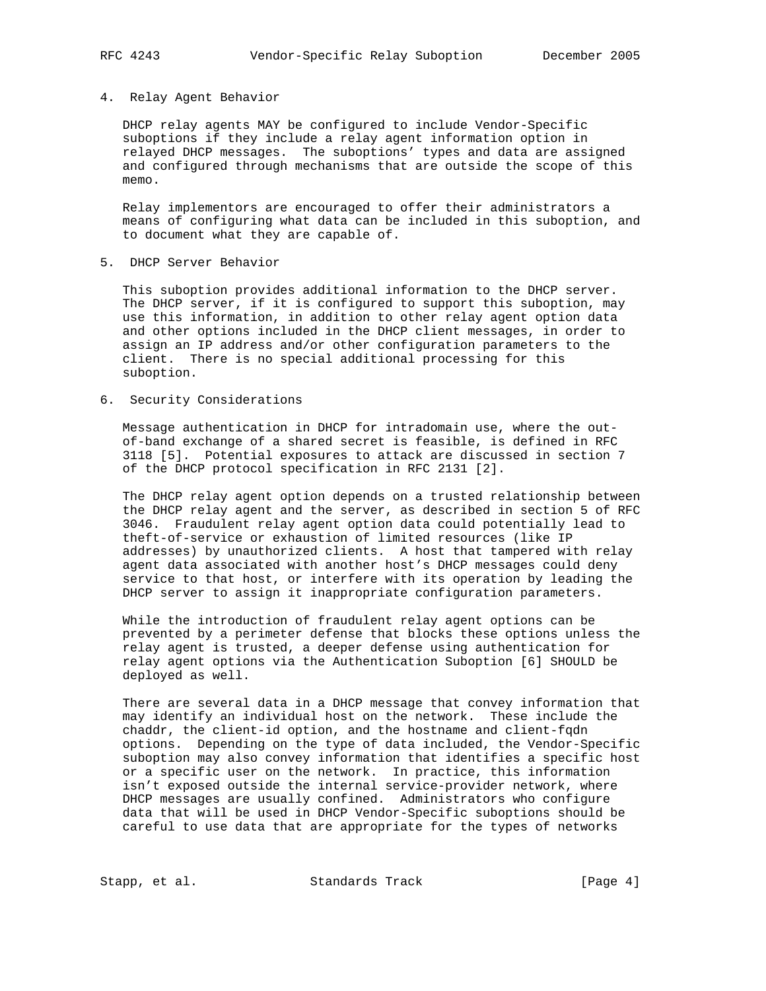### 4. Relay Agent Behavior

 DHCP relay agents MAY be configured to include Vendor-Specific suboptions if they include a relay agent information option in relayed DHCP messages. The suboptions' types and data are assigned and configured through mechanisms that are outside the scope of this memo.

 Relay implementors are encouraged to offer their administrators a means of configuring what data can be included in this suboption, and to document what they are capable of.

5. DHCP Server Behavior

 This suboption provides additional information to the DHCP server. The DHCP server, if it is configured to support this suboption, may use this information, in addition to other relay agent option data and other options included in the DHCP client messages, in order to assign an IP address and/or other configuration parameters to the client. There is no special additional processing for this suboption.

6. Security Considerations

 Message authentication in DHCP for intradomain use, where the out of-band exchange of a shared secret is feasible, is defined in RFC 3118 [5]. Potential exposures to attack are discussed in section 7 of the DHCP protocol specification in RFC 2131 [2].

 The DHCP relay agent option depends on a trusted relationship between the DHCP relay agent and the server, as described in section 5 of RFC 3046. Fraudulent relay agent option data could potentially lead to theft-of-service or exhaustion of limited resources (like IP addresses) by unauthorized clients. A host that tampered with relay agent data associated with another host's DHCP messages could deny service to that host, or interfere with its operation by leading the DHCP server to assign it inappropriate configuration parameters.

 While the introduction of fraudulent relay agent options can be prevented by a perimeter defense that blocks these options unless the relay agent is trusted, a deeper defense using authentication for relay agent options via the Authentication Suboption [6] SHOULD be deployed as well.

 There are several data in a DHCP message that convey information that may identify an individual host on the network. These include the chaddr, the client-id option, and the hostname and client-fqdn options. Depending on the type of data included, the Vendor-Specific suboption may also convey information that identifies a specific host or a specific user on the network. In practice, this information isn't exposed outside the internal service-provider network, where DHCP messages are usually confined. Administrators who configure data that will be used in DHCP Vendor-Specific suboptions should be careful to use data that are appropriate for the types of networks

Stapp, et al. Standards Track [Page 4]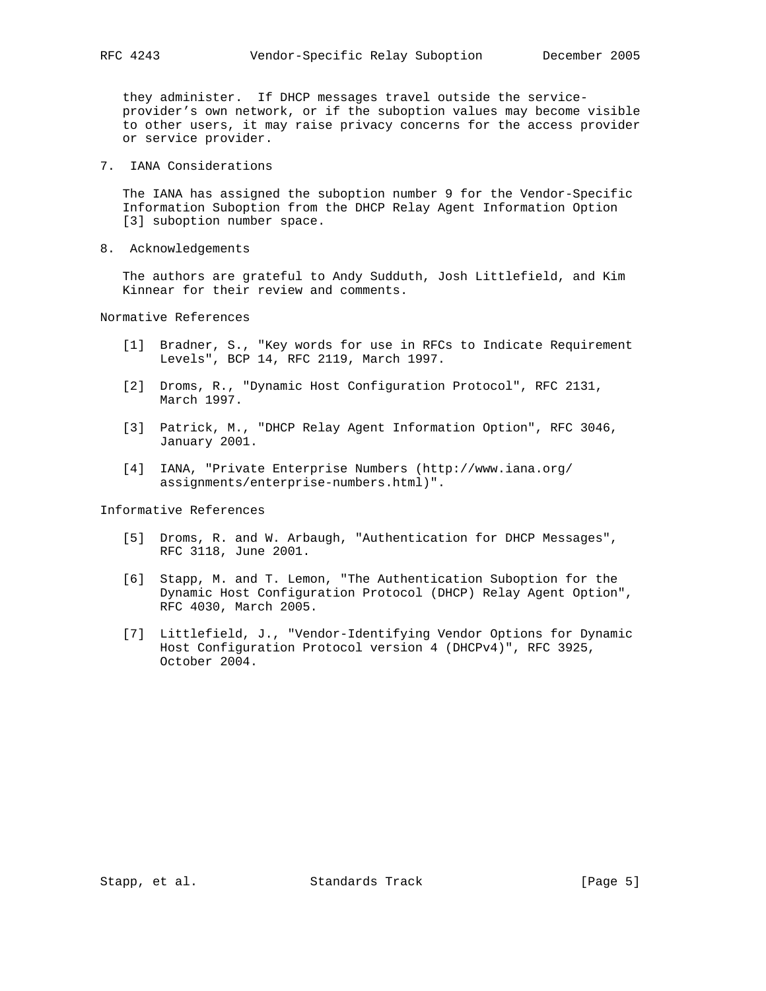they administer. If DHCP messages travel outside the service provider's own network, or if the suboption values may become visible to other users, it may raise privacy concerns for the access provider or service provider.

7. IANA Considerations

 The IANA has assigned the suboption number 9 for the Vendor-Specific Information Suboption from the DHCP Relay Agent Information Option [3] suboption number space.

8. Acknowledgements

 The authors are grateful to Andy Sudduth, Josh Littlefield, and Kim Kinnear for their review and comments.

Normative References

- [1] Bradner, S., "Key words for use in RFCs to Indicate Requirement Levels", BCP 14, RFC 2119, March 1997.
- [2] Droms, R., "Dynamic Host Configuration Protocol", RFC 2131, March 1997.
- [3] Patrick, M., "DHCP Relay Agent Information Option", RFC 3046, January 2001.
- [4] IANA, "Private Enterprise Numbers (http://www.iana.org/ assignments/enterprise-numbers.html)".

Informative References

- [5] Droms, R. and W. Arbaugh, "Authentication for DHCP Messages", RFC 3118, June 2001.
- [6] Stapp, M. and T. Lemon, "The Authentication Suboption for the Dynamic Host Configuration Protocol (DHCP) Relay Agent Option", RFC 4030, March 2005.
- [7] Littlefield, J., "Vendor-Identifying Vendor Options for Dynamic Host Configuration Protocol version 4 (DHCPv4)", RFC 3925, October 2004.

Stapp, et al. Standards Track [Page 5]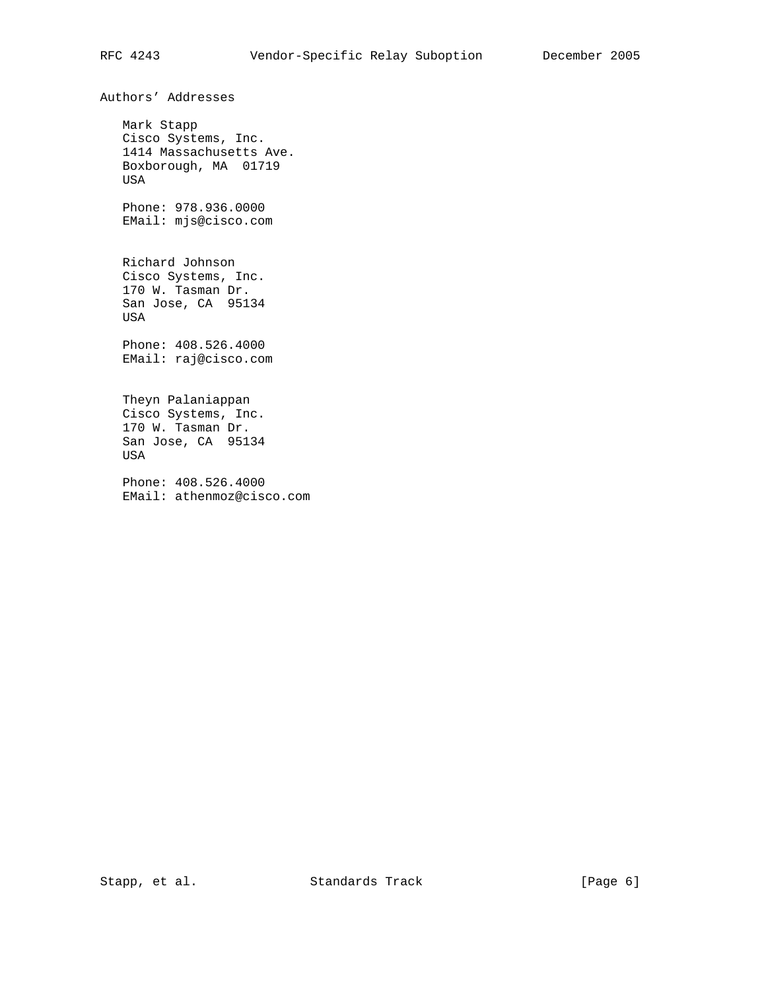Authors' Addresses

 Mark Stapp Cisco Systems, Inc. 1414 Massachusetts Ave. Boxborough, MA 01719 USA Phone: 978.936.0000 EMail: mjs@cisco.com Richard Johnson Cisco Systems, Inc. 170 W. Tasman Dr. San Jose, CA 95134 USA Phone: 408.526.4000 EMail: raj@cisco.com Theyn Palaniappan Cisco Systems, Inc. 170 W. Tasman Dr. San Jose, CA 95134 USA Phone: 408.526.4000 EMail: athenmoz@cisco.com